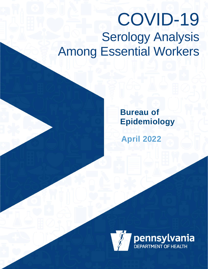# COVID-19 **Serology Analysis** Among Essential Workers

**Bureau of Epidemiology**

**April 2022**

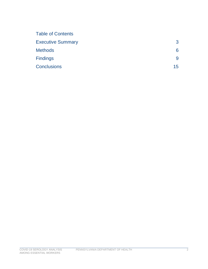| 3               |
|-----------------|
| 6               |
| 9               |
| 15 <sub>1</sub> |
|                 |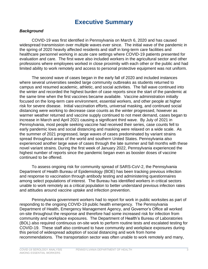# **Executive Summary**

#### *Background*

COVID-19 was first identified in Pennsylvania on March 6, 2020 and has caused widespread transmission over multiple waves ever since. The initial wave of the pandemic in the spring of 2020 heavily affected residents and staff in long-term care facilities and healthcare personnel working in acute care settings where COVID-19 patients presented for evaluation and care. The first wave also included workers in the agricultural sector and other professions where employees worked in close proximity with each other or the public and had limited ability to work remotely and access to personal protective equipment was not uniform.

The second wave of cases began in the early fall of 2020 and included instances where several universities seeded large community outbreaks as students returned to campus and resumed academic, athletic, and social activities. The fall wave continued into the winter and recorded the highest burden of case reports since the start of the pandemic at the same time when the first vaccines became available. Vaccine administration initially focused on the long-term care environment, essential workers, and other people at higher risk for severe disease. Initial vaccination efforts, universal masking, and continued social distancing were working to decrease case counts as the winter progressed, however as warmer weather returned and vaccine supply continued to not meet demand, cases began to increase in March and April 2021 causing a significant third wave. By July of 2021 in Pennsylvania, most people seeking vaccine had received their series, case counts fell to early pandemic lows and social distancing and masking were relaxed on a wide scale. As the summer of 2021 progressed, large waves of cases predominated by variant strains spread throughout areas of the world and southern United States. Pennsylvania also experienced another large wave of cases through the late summer and fall months with these novel variant strains. During the first week of January 2022, Pennsylvania experienced the highest number of reports since the pandemic began even as booster doses of vaccine continued to be offered.

To assess ongoing risk for community spread of SARS-CoV-2, the Pennsylvania Department of Health Bureau of Epidemiology (BOE) has been tracking previous infection and response to vaccination through antibody testing and administering questionnaires among select populations of interest. The Bureau has identified workers in critical sectors unable to work remotely as a critical population to better understand previous infection rates and attitudes around vaccine uptake and infection prevention.

Pennsylvania government workers had to report for work in public worksites as part of responding to the ongoing COVID-19 public health emergency. The Pennsylvania Department of Health, Emergency Management Agency, and Governor's Office all worked on-site throughout the response and therefore had some increased risk for infection from community and workplace exposures. The Department of Health's Bureau of Laboratories (BOL) also required continuous on-site work to perform routine tests and escalated testing for COVID-19. These staff also continued to have community and workplace exposures during this period of widespread adoption of social distancing and work from home recommendations. The transportation sector was often unable to work remotely and many,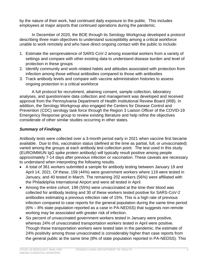by the nature of their work, had continued daily exposure to the public. This includes employees at major airports that continued operations during the pandemic.

In December of 2020, the BOE through its Serology Workgroup developed a protocol describing three main objectives to understand susceptibility among a critical workforce unable to work remotely and who have direct ongoing contact with the public to include:

- 1. Estimate the seroprevalence of SARS-CoV-2 among essential workers from a variety of settings and compare with other existing data to understand disease burden and level of protection in these groups
- 2. Identify community and work-related habits and attitudes associated with protection from infection among those without antibodies compared to those with antibodies
- 3. Track antibody levels and compare with vaccine administration histories to assess ongoing protection in a critical workforce

A full protocol for recruitment, attaining consent, sample collection, laboratory analyses, and questionnaire data collection and management was developed and received approval from the Pennsylvania Department of Health Institutional Review Board (IRB). In addition, the Serology Workgroup also engaged the Centers for Disease Control and Prevention (CDC) serology task force through the Region 3 Liaison Officer of the COVID-19 Emergency Response group to review existing literature and help refine the objectives considerate of other similar studies occurring in other states.

# *Summary of Findings*

Antibody tests were collected over a 3-month period early in 2021 when vaccine first became available. Due to this, vaccination status (defined at the time as partial, full, or unvaccinated) varied among the groups at each antibody test collection point. The test used in this study (EUROIMMUN IgG spike protein antibody) will typically result positive among people approximately 7-14 days after previous infection or vaccination. These caveats are necessary to understand when interpreting the following results.

- A total of 361 workers submitted a sample for antibody testing between January 19 and April 14, 2021. Of these, 159 (44%) were government workers where 119 were tested in January, and 40 tested in March. The remaining 202 workers (56%) were affiliated with the Philadelphia International Airport and were all tested in April.
- Among the entire cohort, 199 (55%) were unvaccinated at the time their blood was collected for antibody testing and 30 of these workers tested positive for SARS-CoV-2 antibodies estimating a previous infection rate of 15%. This is a high rate of previous infection compared to case reports for the general population during the same time period (6% – 8% state population reported as a case in PA-NEDSS) that suggests non-remote working may be associated with greater risk of infection.
- Six percent of unvaccinated government workers tested in January were positive, whereas 24% of unvaccinated transportation workers tested in April were positive. Though these transportation workers were tested later in the pandemic, the estimate of 24% positivity among those unvaccinated is considerably higher than case reports from the general public at the same time (8% of state population reported in PA-NEDSS). This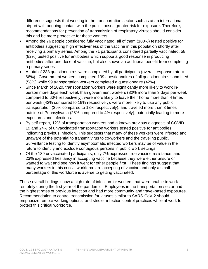difference suggests that working in the transportation sector such as at an international airport with ongoing contact with the public poses greater risk for exposure. Therefore, recommendations for prevention of transmission of respiratory viruses should consider this and be more protective for these workers.

- Among the 76 people considered fully vaccinated, all of them (100%) tested positive for antibodies suggesting high effectiveness of the vaccine in this population shortly after receiving a primary series. Among the 71 participants considered partially vaccinated, 58 (82%) tested positive for antibodies which supports good response in producing antibodies after one dose of vaccine, but also shows an additional benefit from completing a primary series.
- A total of 238 questionnaires were completed by all participants (overall response rate = 66%). Government workers completed 139 questionnaires of all questionnaires submitted (58%) while 99 transportation workers completed a questionnaire (42%).
- Since March of 2020, transportation workers were significantly more likely to work inperson more days each week than government workers (82% more than 3 days per week compared to 60% respectively), were more likely to leave their home more than 4 times per week (42% compared to 19% respectively), were more likely to use any public transportation (39% compared to 18% respectively), and traveled more than 8 times outside of Pennsylvania (28% compared to 4% respectively), potentially leading to more exposures and infections.
- By self-report, 12% of transportation workers had a known previous diagnosis of COVID-19 and 24% of unvaccinated transportation workers tested positive for antibodies indicating previous infection. This suggests that many of these workers were infected and unaware of the potential to transmit virus to co-workers and the traveling public. Surveillance testing to identify asymptomatic infected workers may be of value in the future to identify and exclude contagious persons in public work settings.
- Of the 139 unvaccinated participants, only 7% expressed true vaccine resistance, and 23% expressed hesitancy in accepting vaccine because they were either unsure or wanted to wait and see how it went for other people first. These findings suggest that many workers in this critical workforce are accepting of vaccine and only a small percentage of this workforce is averse to getting vaccinated.

These overall findings show a high rate of infection for workers that were unable to work remotely during the first year of the pandemic. Employees in the transportation sector had the highest rates of previous infection and had more community and travel-based exposures. Recommendation to control transmission for viruses similar to SARS-CoV-2 should emphasize remote working options, and stricter infection control practices while at work to protect this critical workforce.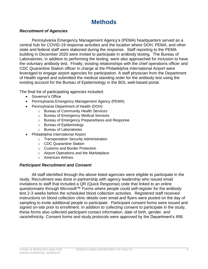# **Methods**

### *Recruitment of Agencies*

Pennsylvania Emergency Management Agency's (PEMA) headquarters served as a central hub for COVID-19 response activities and the location where DOH, PEMA, and other state and federal staff were stationed during the response. Staff reporting to the PEMA building in December 2020 were invited to participate in antibody testing. The Bureau of Laboratories, in addition to performing the testing, were also approached for inclusion to have the voluntary antibody test. Finally, existing relationships with the chief operations officer and CDC Quarantine Station officer in charge at the Philadelphia International Airport were leveraged to engage airport agencies for participation. A staff physician from the Department of Health signed and submitted the medical standing order for the antibody test using the existing account for the Bureau of Epidemiology in the BOL web-based portal.

The final list of participating agencies included:

- Governor's Office
- Pennsylvania Emergency Management Agency (PEMA)
- Pennsylvania Department of Health (DOH)
	- o Bureau of Community Health Services
	- o Bureau of Emergency Medical Services
	- o Bureau of Emergency Preparedness and Response
	- o Bureau of Epidemiology
	- o Bureau of Laboratories
- Philadelphia International Airport
	- o Transportation Security Administration
	- o CDC Quarantine Station
	- o Customs and Border Protection
	- o Airport Operations and the Marketplace
	- o American Airlines

### *Participant Recruitment and Consent*

All staff identified through the above listed agencies were eligible to participate in the study. Recruitment was done in partnership with agency leadership who issued email invitations to staff that included a QR (Quick Response) code that linked to an online questionnaire through Microsoft™ Forms where people could self-register for the antibody test 2-3 weeks before the scheduled blood collection activities. Registered staff received instructions on blood collection clinic details over email and flyers were posted on the day of sampling to invite additional people to participate. Participant consent forms were issued and signed on-site prior to enrollment. In addition to collecting consent to participate in the study, these forms also collected participant contact information, date of birth, gender, and race/ethnicity. Consent forms and study protocols were approved by the Department's IRB.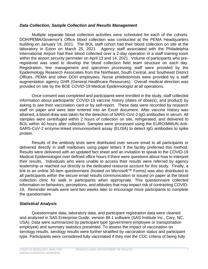#### *Data Collection, Sample Collection and Results Management*

Multiple separate blood collection activities were scheduled for each of the cohorts. DOH/PEMA/Governor's Office blood collection was conducted at the PEMA Headquarters building on January 19, 2021. The BOL staff cohort had their blood collection on site at the laboratory in Exton on March 25, 2021. Agency staff associated with the Philadelphia International Airport had their blood collected over a 2-day operation in a staff training room within the airport security perimeter on April 13 and 14, 2021. Volume of participants who preregistered was used to develop the blood collection field team structure on each day. Registration, line management and specimen processing staff were provided by the Epidemiology Research Associates from the Northeast, South Central, and Southeast District Offices, PEMA and other DOH employees. Nurse phlebotomists were provided by a staff augmentation agency GHR (General Healthcare Resources). Overall medical direction was provided on site by the BOE COVID-19 Medical Epidemiologist at all operations.

Once consent was completed and participants were enrolled in the study, staff collected information about participants' COVID-19 vaccine history (dates of dose(s), and product) by asking to see their vaccination card or by self-report. These data were recorded by research staff on paper and were later entered into an Excel document. After vaccine history was attained, a blood draw was taken for the detection of SARS-CoV-2 IgG antibodies in serum. All samples were centrifuged within 2 hours of collection on site, refrigerated, and delivered to BOL within 40 hours after collection. Samples were processed using the EUROIMMUN Anti-SARS-CoV-2 enzyme-linked immunosorbent assay (ELISA) to detect IgG antibodies to spike protein.

Results of the antibody tests were distributed over secure email to all participants or delivered directly in staff mailboxes using paper letters if the facility preferred this method. Results were delivered with an updated fact sheet and an invitation to speak to the COVID-19 Medical Epidemiologist over defined office hours if there were questions about how to interpret their results. Individuals who were unable to access their results were referred by agency leadership or reached out directly to the dedicated resource account for this study. Finally, a link to an online 30-item questionnaire (hosted on Microsoft™ Forms) was also distributed to all participants within the secure email results communication or issued on paper at the blood collection clinic for walk in participants when appropriate. This questionnaire collected information on behaviors, perceptions, and attitudes that may impact risk of contracting COVID-19. Reminder emails were sent two weeks later to encourage more participants to complete the questionnaire.

### *Statistical Analysis*

Questionnaire data, laboratory data, and participant registration data were cleaned and analyzed in SAS Enterprise Guide, version 88.1 software (SAS Institute Inc., Cary, NC, USA). Data were summarized by participant type (government employee or transportation employee) and summary statistics presented. To assess the impact of vaccination on serology results, serology results were further stratified by vaccination status and participant type. Participants were considered fully vaccinated if they met the CDC criteria of being fully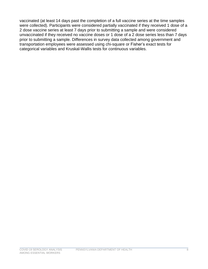vaccinated (at least 14 days past the completion of a full vaccine series at the time samples were collected). Participants were considered partially vaccinated if they received 1 dose of a 2 dose vaccine series at least 7 days prior to submitting a sample and were considered unvaccinated if they received no vaccine doses or 1 dose of a 2 dose series less than 7 days prior to submitting a sample. Differences in survey data collected among government and transportation employees were assessed using chi-square or Fisher's exact tests for categorical variables and Kruskal-Wallis tests for continuous variables.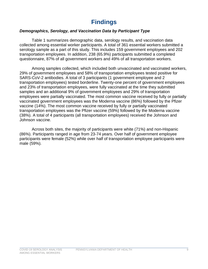# **Findings**

### *Demographics, Serology, and Vaccination Data by Participant Type*

Table 1 summarizes demographic data, serology results, and vaccination data collected among essential worker participants. A total of 361 essential workers submitted a serology sample as a part of this study. This includes 159 government employees and 202 transportation employees. In addition, 238 (65.9%) participants submitted a completed questionnaire, 87% of all government workers and 49% of all transportation workers.

Among samples collected, which included both unvaccinated and vaccinated workers, 29% of government employees and 58% of transportation employees tested positive for SARS-CoV-2 antibodies. A total of 3 participants (1 government employee and 2 transportation employees) tested borderline. Twenty-one percent of government employees and 23% of transportation employees, were fully vaccinated at the time they submitted samples and an additional 9% of government employees and 29% of transportation employees were partially vaccinated. The most common vaccine received by fully or partially vaccinated government employees was the Moderna vaccine (86%) followed by the Pfizer vaccine (14%). The most common vaccine received by fully or partially vaccinated transportation employees was the Pfizer vaccine (59%) followed by the Moderna vaccine (38%). A total of 4 participants (all transportation employees) received the Johnson and Johnson vaccine.

Across both sites, the majority of participants were white (71%) and non-Hispanic (86%). Participants ranged in age from 23-74 years. Over half of government employee participants were female (52%) while over half of transportation employee participants were male (59%).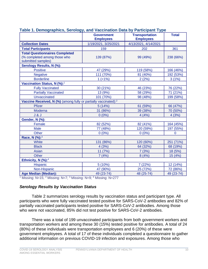| rabic 1. Demographics, Ocrology, and vaccination Data by Farticipant Type                                                                    | <b>Government</b><br><b>Employees</b> | <b>Transportation</b><br><b>Employees</b> | <b>Total</b> |
|----------------------------------------------------------------------------------------------------------------------------------------------|---------------------------------------|-------------------------------------------|--------------|
| <b>Collection Dates</b>                                                                                                                      | 1/19/2021, 3/25/2021                  | 4/13/2021, 4/14/2021                      |              |
| <b>Total Participants</b>                                                                                                                    | 159                                   | 202                                       | 361          |
| <b>Total Questionnaires Completed</b><br>(% completed among those who<br>submitted samples)                                                  | 139 (87%)                             | 99 (49%)                                  | 238 (66%)    |
| <b>Serology Results, N (%):</b>                                                                                                              |                                       |                                           |              |
| <b>Positive</b>                                                                                                                              | 47 (29%)                              | 119 (58%)                                 | 166 (46%)    |
| <b>Negative</b>                                                                                                                              | 111 (70%)                             | 81 (40%)                                  | 192 (53%)    |
| <b>Borderline</b>                                                                                                                            | $1$ (<1%)                             | 2(2%)                                     | 3(1%)        |
| Vaccination Status, N (%): <sup>1</sup>                                                                                                      |                                       |                                           |              |
| <b>Fully Vaccinated</b>                                                                                                                      | 30 (21%)                              | 46 (23%)                                  | 76 (22%)     |
| <b>Partially Vaccinated</b>                                                                                                                  | 13 (9%)                               | 58 (29%)                                  | 71 (21%)     |
| <b>Unvaccinated</b>                                                                                                                          | 101 (70%)                             | 98 (48%)                                  | 199 (58%)    |
| Vaccine Received, N (%) (among fully or partially vaccinated): <sup>2</sup>                                                                  |                                       |                                           |              |
| <b>Pfizer</b>                                                                                                                                | 5 (14%)                               | 61 (59%)                                  | 66 (47%)     |
| Moderna                                                                                                                                      | 31 (86%)                              | 39 (38%)                                  | 70 (50%)     |
| J & J                                                                                                                                        | $0(0\%)$                              | 4(4%)                                     | 4(3%)        |
| Gender, N (%):                                                                                                                               |                                       |                                           |              |
| Female                                                                                                                                       | 82 (52%)                              | 82 (41%)                                  | 164 (45%)    |
| <b>Male</b>                                                                                                                                  | 77 (48%)                              | 120 (59%)                                 | 197 (55%)    |
| Other                                                                                                                                        | $0(0\%)$                              | $0(0\%)$                                  | $\Omega$     |
| Race, N (%): <sup>3</sup>                                                                                                                    |                                       |                                           |              |
| White                                                                                                                                        | 131 (86%)                             | 120 (60%)                                 | 251 (71%)    |
| <b>Black</b>                                                                                                                                 | 4(3%)                                 | 64 (32%)                                  | 68 (19%)     |
| Asian                                                                                                                                        | 11 (7%)                               | 7(3%)                                     | 18 (5%)      |
| <b>Other</b>                                                                                                                                 | 7(4%)                                 | 8(4%)                                     | 15 (4%)      |
| Ethnicity, N (%): <sup>4</sup>                                                                                                               |                                       |                                           |              |
| <b>Hispanic</b>                                                                                                                              | 5(10%)                                | 7(22%)                                    | 12 (14%)     |
| Non-Hispanic                                                                                                                                 | 47 (90%)                              | 25 (72%)                                  | 72 (86%)     |
| <b>Age Median (Median):</b><br>$1$ Missing: N 45, $2$ Missing: N $\overline{z}$ , $\overline{3}$ Missing: N 0, $\overline{4}$ Missing: N 077 | 49 (23-74)                            | 48 (25-74)                                | 49 (23-74)   |

### **Table 1. Demographics, Serology, and Vaccination Data by Participant Type**

<sup>1</sup> Missing: N=15; <sup>2</sup> Missing: N=7; <sup>3</sup> Missing: N=9; <sup>4</sup> Missing: N=277

### *Serology Results by Vaccination Status*

Table 2 summarizes serology results by vaccination status and participant type. All participants who were fully vaccinated tested positive for SARS-CoV-2 antibodies and 82% of partially vaccinated participants tested positive for SARS-CoV-2 antibodies. Among those who were not vaccinated, 85% did not test positive for SARS-CoV-2 antibodies.

There was a total of 199 unvaccinated participants from both government workers and transportation workers and among these 30 (15%) tested positive for antibodies. A total of 24 (80%) of these individuals were transportation employees and 6 (20%) of these were government employees. A total of 17 of these individuals completed a questionnaire to gather additional information on previous COVID-19 infection and exposures. Among those who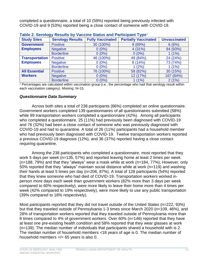completed a questionnaire, a total of 10 (59%) reported being previously infected with COVID-19 and 9 (53%) reported being a close contact of someone with COVID-19.

| rapid 2. Octobyly hoodito by vabolito oldido dha rambolpant rypo |                         |                         |                             |                     |
|------------------------------------------------------------------|-------------------------|-------------------------|-----------------------------|---------------------|
| <b>Study Sites</b>                                               | <b>Serology Results</b> | <b>Fully Vaccinated</b> | <b>Partially Vaccinated</b> | <b>Unvaccinated</b> |
| <b>Government</b>                                                | <b>Positive</b>         | 30 (100%)               | 9(69%)                      | 6(6%)               |
| <b>Employees</b>                                                 | <b>Negative</b>         | $0(0\%)$                | 4(31%)                      | 94 (93%)            |
|                                                                  | <b>Borderline</b>       | $0(0\%)$                | $0(0\%)$                    | $1(1\%)$            |
| <b>Transportation</b>                                            | <b>Positive</b>         | 46 (100%)               | 49 (84%)                    | 24 (24%)            |
| <b>Employees</b>                                                 | <b>Negative</b>         | $0(0\%)$                | 8(14%)                      | 73 (74%)            |
|                                                                  | <b>Borderline</b>       | $0(0\%)$                | (2%)                        | $1(1\%)$            |
| <b>All Essential</b>                                             | <b>Positive</b>         | 76 (100%)               | 58 (82%)                    | 30 (15%)            |
| <b>Workers</b>                                                   | <b>Negative</b>         | $0(0\%)$                | 12 (17%)                    | 167 (84%)           |
|                                                                  | <b>Borderline</b>       | $0(0\%)$                | $1(1\%)$                    | 2(1%)               |

### **Table 2. Serology Results by Vaccine Status and Participant Type**<sup>1</sup>

<sup>1</sup> Percentages are calculated within vaccination group (i.e., the percentage who had that serology result within each vaccination category). Missing: N=15.

#### *Questionnaire Data Summary*

Across both sites a total of 238 participants (66%) completed an online questionnaire. Government workers completed 139 questionnaires of all questionnaires submitted (58%) while 99 transportation workers completed a questionnaire (42%). Among all participants who completed a questionnaire, 25 (11%) had previously been diagnosed with COVID-19 and 76 (32%) had been a close contact of someone who was previously diagnosed with COVID-19 and had to quarantine. A total of 26 (11%) participants had a household member who had previously been diagnosed with COVID-19. Twelve transportation workers reported a previous COVID-19 diagnosis (12%), and 36 (37%) reported having a close contact requiring quarantine.

Among the 238 participants who completed a questionnaire, most reported that they work 5 days per week (n=135, 57%) and reported leaving home at least 2 times per week (n=188, 79%) and that they "always" wear a mask while at work (n=184, 77%). However, only 50% reported that they "always" maintain social distance while at work (n=119) and washing their hands at least 5 times per day (n=206, 87%). A total of 128 participants (54%) reported that they knew someone who had died of COVID-19. Transportation workers worked inperson more days each week than government workers (82% more than 3 days per week compared to 60% respectively), were more likely to leave their home more than 4 times per week (42% compared to 19% respectively), were more likely to use any public transportation (39% compared to 18% respectively).

Most participants reported that they did not travel outside of the United States (n=222, 93%) but that they traveled outside of Pennsylvania 1-3 times since March 2020 (n=109, 46%), and 28% of transportation workers reported that they traveled outside of Pennsylvania more than 8 times compared to 4% of government workers. Over 60% (n=146) reported that they have at least one pre-existing health condition and 58% reported that they wear glasses at work (n=139). The median number of individuals that participants shared a household with is 2. The median number of household members <18 years of age is 0. The median number of household members >/= 65 years is also 0.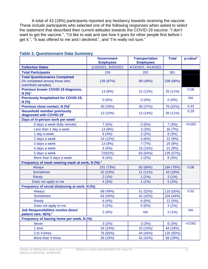A total of 43 (18%) participants reported any hesitancy towards receiving the vaccine. These include participants who selected one of the following responses when asked to select the statement that described their current attitudes towards the COVID-19 vaccine: "I don't want to get the vaccine.", "I'd like to wait and see how it goes for other people first before I get it.", "It was offered to me and I declined.", and "I'm really not sure."

|                                                                                             | <b>Transportation</b><br><b>Government</b><br><b>Employees</b><br><b>Employees</b> |                      | <b>Total</b> | $p$ -value $8$ |
|---------------------------------------------------------------------------------------------|------------------------------------------------------------------------------------|----------------------|--------------|----------------|
| <b>Collection Dates</b>                                                                     | 1/19/2021, 3/25/2021                                                               | 4/13/2021, 4/14/2021 |              |                |
| <b>Total Participants</b>                                                                   | 159                                                                                | 202<br>361           |              |                |
| <b>Total Questionnaires Completed</b><br>(% completed among those who<br>submitted samples) | 139 (87%)                                                                          | 99 (49%)             | 238 (66%)    |                |
| Previous known COVID-19 diagnosis,<br>$N$ (%) <sup>1</sup>                                  | 13 (9%)                                                                            | 12 (12%)             | 25 (11%)     | 0.08           |
| <b>Previously hospitalized for COVID-19,</b><br>N(%)                                        | $0(0\%)$                                                                           | $0(0\%)$             | $0(0\%)$     | <b>NA</b>      |
| Previous close contact, N (%) <sup>2</sup>                                                  | 40 (29%)                                                                           | 36 (37%)             | 76 (32%)     | 0.43           |
| <b>Household member previously</b><br>diagnosed with COVID-193                              | 13 (10%)                                                                           | 13 (14%)             | 26 (11%)     | 0.29           |
| Days of in-person work per week <sup>1</sup>                                                |                                                                                    |                      |              |                |
| 0 days a week (fully remote)                                                                | 7(5%)                                                                              | $0(0\%)$             | 7(3%)        | < 0.001        |
| Less than 1 day a week                                                                      | 13 (9%)                                                                            | 3(3%)                | 16 (7%)      |                |
| 1 day a week                                                                                | 6(4%)                                                                              | 2(2%)                | 8(3%)        |                |
| 2 days a week                                                                               | 16 (12%)                                                                           | 6(6%)                | 22 (9%)      |                |
| 3 days a week                                                                               | 13 (9%)                                                                            | 7(7%)                | 20 (8%)      |                |
| 4 days a week                                                                               | 6(4%)                                                                              | 15 (15%)             | 21 (9%)      |                |
| 5 days a week                                                                               | 72(52%)                                                                            | 63 (64%)             | 135 (57%)    |                |
| More than 5 days a week                                                                     | 6(4%)                                                                              | 2(2%)                | 8(3%)        |                |
| Frequency of mask wearing mask at work, N (%): <sup>4</sup>                                 |                                                                                    |                      |              |                |
| <b>Always</b>                                                                               | 101 (73%)                                                                          | 83 (86%)             | 184 (78%)    | 0.06           |
| <b>Sometimes</b>                                                                            | 32 (23%)                                                                           | 11 (11%)             | 43 (18%)     |                |
| Rarely                                                                                      | 2(1%)                                                                              | 1(1%)                | 3(1%)        |                |
| Does not apply to me                                                                        | 4(3%)                                                                              | $1(1\%)$             | 5(2%)        |                |
| Frequency of social distancing at work, N (%):                                              |                                                                                    |                      |              |                |
| <b>Always</b>                                                                               | 68 (49%)                                                                           | 51 (52%)             | 119 (50%)    | 0.52           |
| <b>Sometimes</b>                                                                            | 62 (45%)                                                                           | 42 (42%)             | 104 (44%)    |                |
| <b>Rarely</b>                                                                               | 6(4%)                                                                              | 6(6%)                | 12 (5%)      |                |
| Does not apply to me                                                                        | 3(2%)                                                                              | $0(0\%)$             | 3(1%)        |                |
| <b>Job Responsibilities involve direct</b><br>patient care, N(%): <sup>5</sup>              | 2(3%)                                                                              | <b>NA</b>            | 2(1%)        | <b>NA</b>      |
| Frequency of leaving home per week, N (%):                                                  |                                                                                    |                      |              |                |
| <b>Never</b>                                                                                | 3(2%)                                                                              | 3(3%)                | 6(3%)        | < 0.001        |
| 1 time                                                                                      | 34 (24%)                                                                           | 10 (10%)             | 44 (18%)     |                |
| 2 to 4 times                                                                                | 76 (55%)                                                                           | 44 (44%)             | 120 (50%)    |                |
| More than 4 times                                                                           | 26 (19%)                                                                           | 42 (42%)             | 68 (29%)     |                |

### **Table 3. Questionnaire Data Summary**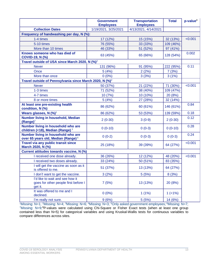|                                                                                      | <b>Government</b><br><b>Employees</b> | <b>Transportation</b><br><b>Employees</b> | <b>Total</b> | $p$ -value $8$ |
|--------------------------------------------------------------------------------------|---------------------------------------|-------------------------------------------|--------------|----------------|
| <b>Collection Dates</b>                                                              | 1/19/2021, 3/25/2021                  | 4/13/2021, 4/14/2021                      |              |                |
| Frequency of handwashing per day, N (%):                                             |                                       |                                           |              |                |
| 1-4 times                                                                            | 17 (12%)                              | 15 (15%)                                  | 32 (13%)     | < 0.001        |
| 5-10 times                                                                           | 76 (55%)                              | 33 (33%)                                  | 109 (46%)    |                |
| More than 10 times                                                                   | 46 (33%)                              | 51 (52%)                                  | 97 (41%)     |                |
| Knows someone who has died of<br><b>COVID-19, N (%)</b>                              | 63 (45%)                              | 65 (66%)                                  | 128 (54%)    | 0.002          |
| Travel outside of USA since March 2020, N (%) <sup>2</sup>                           |                                       |                                           |              |                |
| <b>Never</b>                                                                         | 131 (96%)                             | 91 (95%)                                  | 222 (95%)    | 0.11           |
| Once                                                                                 | 5(4%)                                 | 2(2%)                                     | 7(3%)        |                |
| More than once                                                                       | $0(0\%)$                              | 3(3%)                                     | 3(1%)        |                |
| Travel outside of Pennsylvania since March 2020, N (%) <sup>2</sup>                  |                                       |                                           |              |                |
| <b>Never</b>                                                                         | 50 (37%)                              | 21 (22%)                                  | 71 (30%)     | < 0.001        |
| 1-3 times                                                                            | 71 (52%)                              | 38 (40%)                                  | 109 (47%)    |                |
| 4-7 times                                                                            | 10 (7%)                               | 10 (10%)                                  | 20 (8%)      |                |
| 8 or more times                                                                      | 5(4%)                                 | 27 (28%)                                  | 32 (14%)     |                |
| At least one pre-existing health<br>condition, N (%)                                 | 86 (62%)                              | 60 (61%)                                  | 146 (61%)    | 0.84           |
| Wears glasses, $N$ (%) <sup>1</sup>                                                  | 86 (62%)                              | 53 (53%)                                  | 139 (59%)    | 0.18           |
| Number living in household, Median<br>$(Range)^7$                                    | $2(0-30)$                             | $3(0-9)$                                  | $2(0-30)$    | 0.12           |
| Number living in household who are<br>children (<18), Median (Range) $3$             | $0(0-10)$                             | $0(0-3)$                                  | $0(0-10)$    | 0.28           |
| Number living in household who are<br>over 65 years old, Median (Range) <sup>6</sup> | $0(0-2)$                              | $0(0-3)$                                  | $0(0-3)$     | 0.24           |
| Travel via any public transit since<br>March 2020, N (%)                             | 25 (18%)                              | 39 (39%)                                  | 64 (27%)     | < 0.001        |
| Current attitudes towards vaccine, N (%)                                             |                                       |                                           |              |                |
| I received one dose already.                                                         | 36 (26%)                              | 12 (12%)                                  | 48 (20%)     | < 0.001        |
| I received two doses already.                                                        | 33 (24%)                              | 50 (51%)                                  | 83 (35%)     |                |
| I will get the vaccine as soon as it<br>is offered to me.                            | 51 (37%)                              | 13 (13%)                                  | 64 (27%)     |                |
| I don't want to get the vaccine.                                                     | 3(2%)                                 | 5(5%)                                     | 8(3%)        |                |
| I'd like to wait and see how it<br>goes for other people first before I<br>get it.   | 7(5%)                                 | 13 (13%)                                  | 20 (8%)      |                |
| It was offered to me and I<br>declined.                                              | $0(0\%)$                              | 1(1%)                                     | $1( < 1\%)$  |                |
| I'm really not sure.                                                                 | 9(6%)                                 | 5(5%)                                     | 14 (6%)      |                |

<sup>1</sup>Missing: N=1; <sup>2</sup>Missing: N=4; <sup>3</sup>Missing: N=6; <sup>4</sup>Missing: N=3; <sup>5</sup>Only asked government employees; <sup>6</sup>Missing: N=7; <sup>7</sup>Missing: N=9;<sup>8</sup>P-values were calculated using Chi-Square or Fisher Exact tests (when at least one group contained less than N=5) for categorical variables and using Kruskal-Wallis tests for continuous variables to compare differences across sites.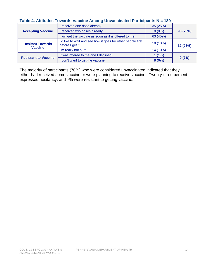## **Table 4. Attitudes Towards Vaccine Among Unvaccinated Participants N = 139**

|                             | received one dose already.                                                      | 35 (25%)             |          |
|-----------------------------|---------------------------------------------------------------------------------|----------------------|----------|
| <b>Accepting Vaccine</b>    | received two doses already.<br>$0(0\%)$                                         |                      | 98 (70%) |
|                             | will get the vaccine as soon as it is offered to me.                            | 63 (45%)             |          |
| <b>Hesitant Towards</b>     | I'd like to wait and see how it goes for other people first<br>before I get it. | 18 (13%)<br>32 (23%) |          |
| <b>Vaccine</b>              | I'm really not sure.                                                            | 14 (10%)             |          |
| <b>Resistant to Vaccine</b> | It was offered to me and I declined.                                            | 1(1%)                |          |
|                             | don't want to get the vaccine.                                                  | 8(6%)                | 9(7%)    |

The majority of participants (70%) who were considered unvaccinated indicated that they either had received some vaccine or were planning to receive vaccine. Twenty-three percent expressed hesitancy, and 7% were resistant to getting vaccine.